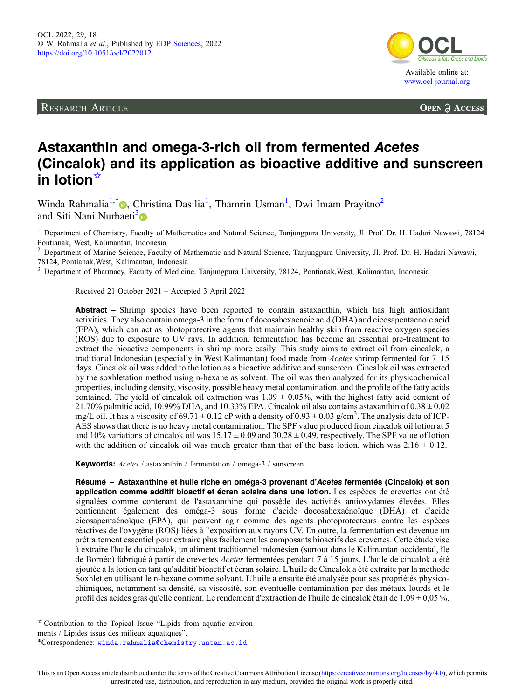RESEARCH ARTICLE



**OPEN A ACCESS** 

# Astaxanthin and omega-3-rich oil from fermented Acetes (Cincalok) and its application as bioactive additive and sunscreen in lotion☆

Winda Rahmalia<sup>1[,](https://orcid.org/0000-0002-9904-3064)\*</sup> , Christina Dasilia<sup>1</sup>, Thamrin Usman<sup>1</sup>, Dwi Imam Prayitno<sup>2</sup> and Siti Nani Nurbaeti<sup>3</sup>

<sup>1</sup> Department of Chemistry, Faculty of Mathematics and Natural Science, Tanjungpura University, Jl. Prof. Dr. H. Hadari Nawawi, 78124 Pontianak, West, Kalimantan, Indonesia

<sup>2</sup> Department of Marine Science, Faculty of Mathematic and Natural Science, Tanjungpura University, Jl. Prof. Dr. H. Hadari Nawawi, 78124, Pontianak,West, Kalimantan, Indonesia

<sup>3</sup> Department of Pharmacy, Faculty of Medicine, Tanjungpura University, 78124, Pontianak, West, Kalimantan, Indonesia

Received 21 October 2021 – Accepted 3 April 2022

Abstract – Shrimp species have been reported to contain astaxanthin, which has high antioxidant activities. They also contain omega-3 in the form of docosahexaenoic acid (DHA) and eicosapentaenoic acid (EPA), which can act as photoprotective agents that maintain healthy skin from reactive oxygen species (ROS) due to exposure to UV rays. In addition, fermentation has become an essential pre-treatment to extract the bioactive components in shrimp more easily. This study aims to extract oil from cincalok, a traditional Indonesian (especially in West Kalimantan) food made from *Acetes* shrimp fermented for 7–15 days. Cincalok oil was added to the lotion as a bioactive additive and sunscreen. Cincalok oil was extracted by the soxhletation method using n-hexane as solvent. The oil was then analyzed for its physicochemical properties, including density, viscosity, possible heavy metal contamination, and the profile of the fatty acids contained. The yield of cincalok oil extraction was  $1.09 \pm 0.05\%$ , with the highest fatty acid content of 21.70% palmitic acid, 10.99% DHA, and 10.33% EPA. Cincalok oil also contains astaxanthin of  $0.38 \pm 0.02$ mg/L oil. It has a viscosity of 69.71  $\pm$  0.12 cP with a density of 0.93  $\pm$  0.03 g/cm<sup>3</sup>. The analysis data of ICP-AES shows that there is no heavy metal contamination. The SPF value produced from cincalok oil lotion at 5 and 10% variations of cincalok oil was  $15.17 \pm 0.09$  and  $30.28 \pm 0.49$ , respectively. The SPF value of lotion with the addition of cincalok oil was much greater than that of the base lotion, which was  $2.16 \pm 0.12$ .

Keywords: Acetes / astaxanthin / fermentation / omega-3 / sunscreen

Résumé – Astaxanthine et huile riche en oméga-3 provenant d'Acetes fermentés (Cincalok) et son application comme additif bioactif et écran solaire dans une lotion. Les espèces de crevettes ont été signalées comme contenant de l'astaxanthine qui possède des activités antioxydantes élevées. Elles contiennent également des oméga-3 sous forme d'acide docosahexaénoïque (DHA) et d'acide eicosapentaénoïque (EPA), qui peuvent agir comme des agents photoprotecteurs contre les espèces réactives de l'oxygène (ROS) liées à l'exposition aux rayons UV. En outre, la fermentation est devenue un prétraitement essentiel pour extraire plus facilement les composants bioactifs des crevettes. Cette étude vise à extraire l'huile du cincalok, un aliment traditionnel indonésien (surtout dans le Kalimantan occidental, île de Bornéo) fabriqué à partir de crevettes Acetes fermentées pendant 7 à 15 jours. L'huile de cincalok a été ajoutée à la lotion en tant qu'additif bioactif et écran solaire. L'huile de Cincalok a été extraite par la méthode Soxhlet en utilisant le n-hexane comme solvant. L'huile a ensuite été analysée pour ses propriétés physicochimiques, notamment sa densité, sa viscosité, son éventuelle contamination par des métaux lourds et le profil des acides gras qu'elle contient. Le rendement d'extraction de l'huile de cincalok était de  $1,09 \pm 0,05$  %.

<sup>☆</sup> Contribution to the Topical Issue "Lipids from aquatic environ-

ments / Lipides issus des milieux aquatiques".

<sup>\*</sup>Correspondence: [winda.rahmalia@chemistry.untan.ac.id](mailto:winda.rahmalia@chemistry.untan.ac.id)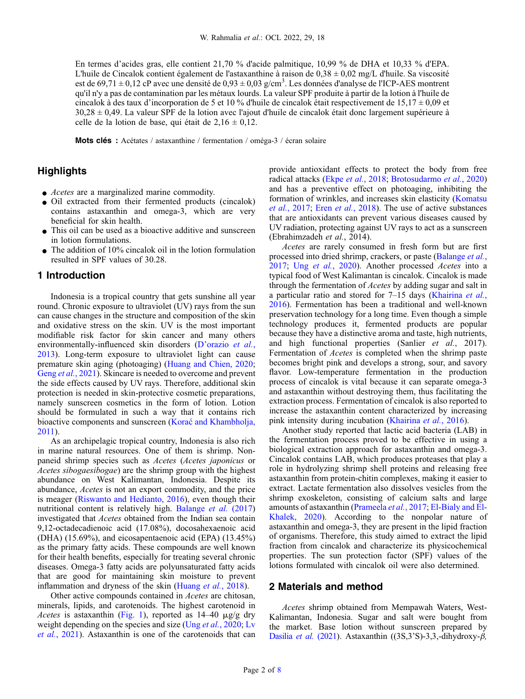En termes d'acides gras, elle contient 21,70 % d'acide palmitique, 10,99 % de DHA et 10,33 % d'EPA. L'huile de Cincalok contient également de l'astaxanthine à raison de  $0.38 \pm 0.02$  mg/L d'huile. Sa viscosité est de 69,71  $\pm$  0,12 cP avec une densité de 0,93  $\pm$  0,03 g/cm<sup>3</sup>. Les données d'analyse de l'ICP-AES montrent qu'il n'y a pas de contamination par les métaux lourds. La valeur SPF produite à partir de la lotion à l'huile de cincalok à des taux d'incorporation de 5 et 10 % d'huile de cincalok était respectivement de 15,17  $\pm$  0,09 et 30,28 ± 0,49. La valeur SPF de la lotion avec l'ajout d'huile de cincalok était donc largement supérieure à celle de la lotion de base, qui était de  $2,16 \pm 0,12$ .

Mots clés : Acétates / astaxanthine / fermentation / oméga-3 / écran solaire

# **Highlights**

- $\bullet$  *Acetes* are a marginalized marine commodity.
- Oil extracted from their fermented products (cincalok) contains astaxanthin and omega-3, which are very beneficial for skin health.
- This oil can be used as a bioactive additive and sunscreen in lotion formulations.
- The addition of  $10\%$  cincalok oil in the lotion formulation resulted in SPF values of 30.28.

## 1 Introduction

Indonesia is a tropical country that gets sunshine all year round. Chronic exposure to ultraviolet (UV) rays from the sun can cause changes in the structure and composition of the skin and oxidative stress on the skin. UV is the most important modifiable risk factor for skin cancer and many others environmentally-influenced skin disorders (D'[orazio](#page-7-0) et al., [2013](#page-7-0)). Long-term exposure to ultraviolet light can cause premature skin aging (photoaging) ([Huang and Chien, 2020](#page-7-0); Geng et al.[, 2021\)](#page-7-0). Skincare is needed to overcome and prevent the side effects caused by UV rays. Therefore, additional skin protection is needed in skin-protective cosmetic preparations, namely sunscreen cosmetics in the form of lotion. Lotion should be formulated in such a way that it contains rich bioactive components and sunscreen (Korać [and Khambholja,](#page-7-0) [2011](#page-7-0)).

As an archipelagic tropical country, Indonesia is also rich in marine natural resources. One of them is shrimp. Nonpaneid shrimp species such as Acetes (Acetes japonicus or Acetes sibogaesibogae) are the shrimp group with the highest abundance on West Kalimantan, Indonesia. Despite its abundance, Acetes is not an export commodity, and the price is meager [\(Riswanto and Hedianto, 2016](#page-7-0)), even though their nutritional content is relatively high. [Balange](#page-6-0) et al. (2017) investigated that Acetes obtained from the Indian sea contain 9,12-octadecadienoic acid (17.08%), docosahexaenoic acid (DHA) (15.69%), and eicosapentaenoic acid (EPA) (13.45%) as the primary fatty acids. These compounds are well known for their health benefits, especially for treating several chronic diseases. Omega-3 fatty acids are polyunsaturated fatty acids that are good for maintaining skin moisture to prevent inflammation and dryness of the skin ([Huang](#page-7-0) *et al.*, 2018).

Other active compounds contained in Acetes are chitosan, minerals, lipids, and carotenoids. The highest carotenoid in Acetes is astaxanthin [\(Fig. 1\)](#page-2-0), reported as  $14-40 \mu g/g$  dry weight depending on the species and size (Ung et al.[, 2020;](#page-7-0) [Lv](#page-7-0) et al.[, 2021\)](#page-7-0). Astaxanthin is one of the carotenoids that can provide antioxidant effects to protect the body from free radical attacks (Ekpe et al.[, 2018](#page-7-0); [Brotosudarmo](#page-7-0) et al., 2020) and has a preventive effect on photoaging, inhibiting the formation of wrinkles, and increases skin elasticity ([Komatsu](#page-7-0) et al.[, 2017;](#page-7-0) Eren et al.[, 2018\)](#page-7-0). The use of active substances that are antioxidants can prevent various diseases caused by UV radiation, protecting against UV rays to act as a sunscreen (Ebrahimzadeh et al., 2014).

Acetes are rarely consumed in fresh form but are first processed into dried shrimp, crackers, or paste [\(Balange](#page-6-0) et al., [2017](#page-6-0); Ung et al.[, 2020\)](#page-7-0). Another processed Acetes into a typical food of West Kalimantan is cincalok. Cincalok is made through the fermentation of Acetes by adding sugar and salt in a particular ratio and stored for 7–15 days [\(Khairina](#page-7-0) et al., [2016](#page-7-0)). Fermentation has been a traditional and well-known preservation technology for a long time. Even though a simple technology produces it, fermented products are popular because they have a distinctive aroma and taste, high nutrients, and high functional properties (Sanlier et al., 2017). Fermentation of Acetes is completed when the shrimp paste becomes bright pink and develops a strong, sour, and savory flavor. Low-temperature fermentation in the production process of cincalok is vital because it can separate omega-3 and astaxanthin without destroying them, thus facilitating the extraction process. Fermentation of cincalok is also reported to increase the astaxanthin content characterized by increasing pink intensity during incubation [\(Khairina](#page-7-0) et al., 2016).

Another study reported that lactic acid bacteria (LAB) in the fermentation process proved to be effective in using a biological extraction approach for astaxanthin and omega-3. Cincalok contains LAB, which produces proteases that play a role in hydrolyzing shrimp shell proteins and releasing free astaxanthin from protein-chitin complexes, making it easier to extract. Lactate fermentation also dissolves vesicles from the shrimp exoskeleton, consisting of calcium salts and large amounts of astaxanthin ([Prameela](#page-7-0) et al., 2017; [El-Bialy and El-](#page-7-0)[Khalek, 2020](#page-7-0)). According to the nonpolar nature of astaxanthin and omega-3, they are present in the lipid fraction of organisms. Therefore, this study aimed to extract the lipid fraction from cincalok and characterize its physicochemical properties. The sun protection factor (SPF) values of the lotions formulated with cincalok oil were also determined.

## 2 Materials and method

Acetes shrimp obtained from Mempawah Waters, West-Kalimantan, Indonesia. Sugar and salt were bought from the market. Base lotion without sunscreen prepared by [Dasilia](#page-7-0) et al. (2021). Astaxanthin ((3S,3'S)-3,3,-dihydroxy- $\beta$ ,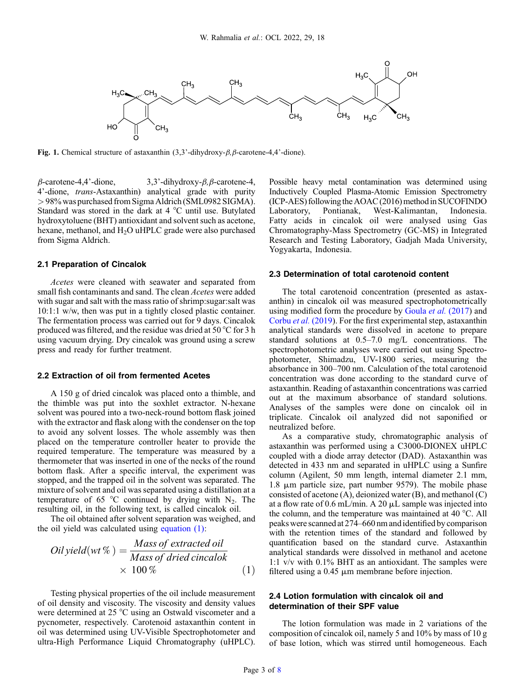<span id="page-2-0"></span>

Fig. 1. Chemical structure of astaxanthin  $(3,3)$ <sup>2</sup>-dihydroxy- $\beta$ ,  $\beta$ -carotene-4,4'-dione).

 $\beta$ -carotene-4,4'-dione, 3,3'-dihydroxy- $\beta$ , $\beta$ -carotene-4, 4'-dione, trans-Astaxanthin) analytical grade with purity >98% was purchased from Sigma Aldrich (SML0982 SIGMA). Standard was stored in the dark at 4 °C until use. Butylated hydroxytoluene (BHT) antioxidant and solvent such as acetone, hexane, methanol, and  $H<sub>2</sub>O$  uHPLC grade were also purchased from Sigma Aldrich.

## 2.1 Preparation of Cincalok

Acetes were cleaned with seawater and separated from small fish contaminants and sand. The clean Acetes were added with sugar and salt with the mass ratio of shrimp:sugar:salt was 10:1:1 w/w, then was put in a tightly closed plastic container. The fermentation process was carried out for 9 days. Cincalok produced was filtered, and the residue was dried at 50 °C for 3 h using vacuum drying. Dry cincalok was ground using a screw press and ready for further treatment.

## 2.2 Extraction of oil from fermented Acetes

A 150 g of dried cincalok was placed onto a thimble, and the thimble was put into the soxhlet extractor. N-hexane solvent was poured into a two-neck-round bottom flask joined with the extractor and flask along with the condenser on the top to avoid any solvent losses. The whole assembly was then placed on the temperature controller heater to provide the required temperature. The temperature was measured by a thermometer that was inserted in one of the necks of the round bottom flask. After a specific interval, the experiment was stopped, and the trapped oil in the solvent was separated. The mixture of solvent and oil was separated using a distillation at a temperature of 65  $\degree$ C continued by drying with N<sub>2</sub>. The resulting oil, in the following text, is called cincalok oil.

The oil obtained after solvent separation was weighed, and the oil yield was calculated using equation (1):

$$
Oil yield(wt\%) = \frac{Mass\ of\ extracted\ oil}{Mass\ of\ dried\ cincalok} \times 100\%
$$
 (1)

Testing physical properties of the oil include measurement of oil density and viscosity. The viscosity and density values were determined at 25 °C using an Ostwald viscometer and a pycnometer, respectively. Carotenoid astaxanthin content in oil was determined using UV-Visible Spectrophotometer and ultra-High Performance Liquid Chromatography (uHPLC). Possible heavy metal contamination was determined using Inductively Coupled Plasma-Atomic Emission Spectrometry (ICP-AES) following the AOAC (2016) method in SUCOFINDO Laboratory, Pontianak, West-Kalimantan, Indonesia. Fatty acids in cincalok oil were analysed using Gas Chromatography-Mass Spectrometry (GC-MS) in Integrated Research and Testing Laboratory, Gadjah Mada University, Yogyakarta, Indonesia.

#### 2.3 Determination of total carotenoid content

The total carotenoid concentration (presented as astaxanthin) in cincalok oil was measured spectrophotometrically using modified form the procedure by [Goula](#page-7-0) *et al.* (2017) and [Corbu](#page-7-0) et al. (2019). For the first experimental step, astaxanthin analytical standards were dissolved in acetone to prepare standard solutions at 0.5–7.0 mg/L concentrations. The spectrophotometric analyses were carried out using Spectrophotometer, Shimadzu, UV-1800 series, measuring the absorbance in 300–700 nm. Calculation of the total carotenoid concentration was done according to the standard curve of astaxanthin. Reading of astaxanthin concentrations was carried out at the maximum absorbance of standard solutions. Analyses of the samples were done on cincalok oil in triplicate. Cincalok oil analyzed did not saponified or neutralized before.

As a comparative study, chromatographic analysis of astaxanthin was performed using a C3000-DIONEX uHPLC coupled with a diode array detector (DAD). Astaxanthin was detected in 433 nm and separated in uHPLC using a Sunfire column (Agilent, 50 mm length, internal diameter 2.1 mm, 1.8  $\mu$ m particle size, part number 9579). The mobile phase consisted of acetone (A), deionized water (B), and methanol (C) at a flow rate of 0.6 mL/min. A 20  $\mu$ L sample was injected into the column, and the temperature was maintained at 40 °C. All peaks were scanned at 274–660 nm andidentified by comparison with the retention times of the standard and followed by quantification based on the standard curve. Astaxanthin analytical standards were dissolved in methanol and acetone 1:1 v/v with 0.1% BHT as an antioxidant. The samples were filtered using a  $0.45 \mu m$  membrane before injection.

## 2.4 Lotion formulation with cincalok oil and determination of their SPF value

The lotion formulation was made in 2 variations of the composition of cincalok oil, namely 5 and 10% by mass of 10 g of base lotion, which was stirred until homogeneous. Each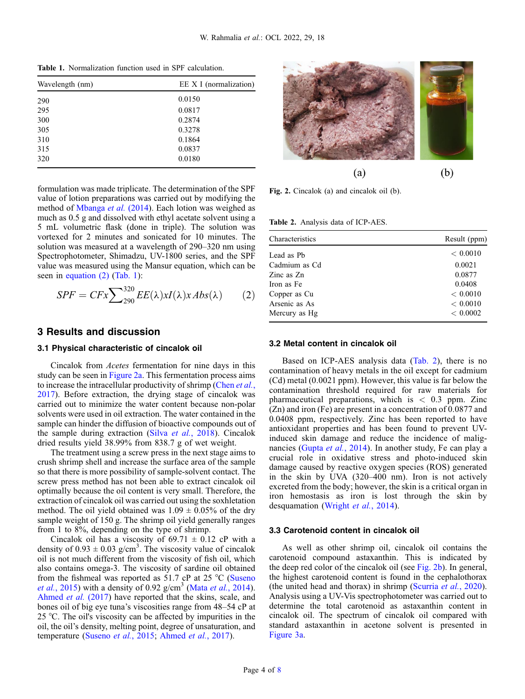Table 1. Normalization function used in SPF calculation.

| Wavelength (nm) | EE X I (normalization) |  |  |
|-----------------|------------------------|--|--|
| 290             | 0.0150                 |  |  |
| 295             | 0.0817                 |  |  |
| 300             | 0.2874                 |  |  |
| 305             | 0.3278                 |  |  |
| 310             | 0.1864                 |  |  |
| 315             | 0.0837                 |  |  |
| 320             | 0.0180                 |  |  |
|                 |                        |  |  |



$$
SPF = CFx \sum_{290}^{320} EE(\lambda)xI(\lambda)xAbs(\lambda) \qquad (2)
$$

# 3 Results and discussion

## 3.1 Physical characteristic of cincalok oil

Cincalok from Acetes fermentation for nine days in this study can be seen in Figure 2a. This fermentation process aims to increase the intracellular productivity of shrimp ([Chen](#page-7-0) et al., [2017](#page-7-0)). Before extraction, the drying stage of cincalok was carried out to minimize the water content because non-polar solvents were used in oil extraction. The water contained in the sample can hinder the diffusion of bioactive compounds out of the sample during extraction (Silva et al.[, 2018\)](#page-7-0). Cincalok dried results yield 38.99% from 838.7 g of wet weight.

The treatment using a screw press in the next stage aims to crush shrimp shell and increase the surface area of the sample so that there is more possibility of sample-solvent contact. The screw press method has not been able to extract cincalok oil optimally because the oil content is very small. Therefore, the extraction of cincalok oil was carried out using the soxhletation method. The oil yield obtained was  $1.09 \pm 0.05\%$  of the dry sample weight of 150 g. The shrimp oil yield generally ranges from 1 to 8%, depending on the type of shrimp.

Cincalok oil has a viscosity of  $69.71 \pm 0.12$  cP with a density of  $0.93 \pm 0.03$  g/cm<sup>3</sup>. The viscosity value of cincalok oil is not much different from the viscosity of fish oil, which also contains omega-3. The viscosity of sardine oil obtained from the fishmeal was reported as 51.7 cP at 25 °C [\(Suseno](#page-7-0) *et al.*[, 2015](#page-7-0)) with a density of 0.92  $g/cm<sup>3</sup>$  (Mata *et al.*[, 2014](#page-7-0)). [Ahmed](#page-6-0) et al. (2017) have reported that the skins, scale, and bones oil of big eye tuna's viscosities range from 48–54 cP at 25 °C. The oil's viscosity can be affected by impurities in the oil, the oil's density, melting point, degree of unsaturation, and temperature ([Suseno](#page-7-0) et al., 2015; [Ahmed](#page-6-0) et al., 2017).



Fig. 2. Cincalok (a) and cincalok oil (b).

Table 2. Analysis data of ICP-AES.

| <b>Characteristics</b> | Result (ppm) |
|------------------------|--------------|
| Lead as Ph             | < 0.0010     |
| Cadmium as Cd          | 0.0021       |
| Zinc as $Zn$           | 0.0877       |
| Iron as Fe             | 0.0408       |
| Copper as Cu           | < 0.0010     |
| Arsenic as As          | < 0.0010     |
| Mercury as Hg          | < 0.0002     |

## 3.2 Metal content in cincalok oil

Based on ICP-AES analysis data (Tab. 2), there is no contamination of heavy metals in the oil except for cadmium (Cd) metal (0.0021 ppm). However, this value is far below the contamination threshold required for raw materials for pharmaceutical preparations, which is  $< 0.3$  ppm. Zinc (Zn) and iron (Fe) are present in a concentration of 0.0877 and 0.0408 ppm, respectively. Zinc has been reported to have antioxidant properties and has been found to prevent UVinduced skin damage and reduce the incidence of malig-nancies (Gupta et al.[, 2014\)](#page-7-0). In another study, Fe can play a crucial role in oxidative stress and photo-induced skin damage caused by reactive oxygen species (ROS) generated in the skin by UVA (320–400 nm). Iron is not actively excreted from the body; however, the skin is a critical organ in iron hemostasis as iron is lost through the skin by desquamation [\(Wright](#page-7-0) et al., 2014).

#### 3.3 Carotenoid content in cincalok oil

As well as other shrimp oil, cincalok oil contains the carotenoid compound astaxanthin. This is indicated by the deep red color of the cincalok oil (see Fig. 2b). In general, the highest carotenoid content is found in the cephalothorax (the united head and thorax) in shrimp ([Scurria](#page-7-0) *et al.*, 2020). Analysis using a UV-Vis spectrophotometer was carried out to determine the total carotenoid as astaxanthin content in cincalok oil. The spectrum of cincalok oil compared with standard astaxanthin in acetone solvent is presented in [Figure 3a](#page-4-0).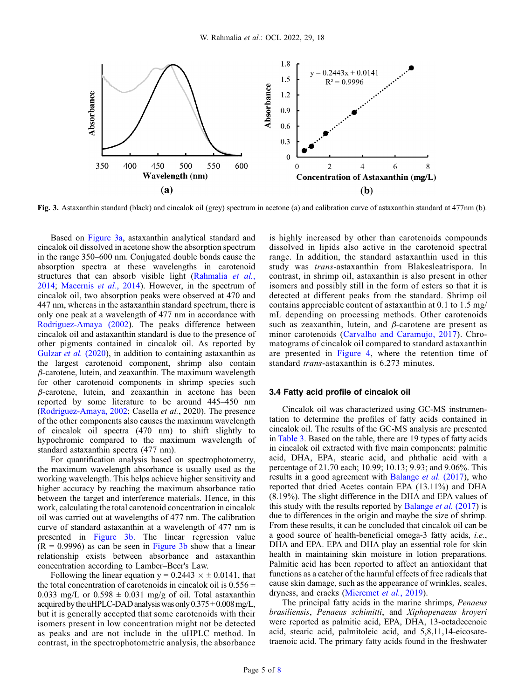<span id="page-4-0"></span>

Fig. 3. Astaxanthin standard (black) and cincalok oil (grey) spectrum in acetone (a) and calibration curve of astaxanthin standard at 477nm (b).

Based on Figure 3a, astaxanthin analytical standard and cincalok oil dissolved in acetone show the absorption spectrum in the range 350–600 nm. Conjugated double bonds cause the absorption spectra at these wavelengths in carotenoid structures that can absorb visible light ([Rahmalia](#page-7-0) et al., [2014](#page-7-0); [Macernis](#page-7-0) et al., 2014). However, in the spectrum of cincalok oil, two absorption peaks were observed at 470 and 447 nm, whereas in the astaxanthin standard spectrum, there is only one peak at a wavelength of 477 nm in accordance with [Rodriguez-Amaya \(2002\)](#page-7-0). The peaks difference between cincalok oil and astaxanthin standard is due to the presence of other pigments contained in cincalok oil. As reported by [Gulzar](#page-7-0) *et al.* (2020), in addition to containing astaxanthin as the largest carotenoid component, shrimp also contain  $\beta$ -carotene, lutein, and zeaxanthin. The maximum wavelength for other carotenoid components in shrimp species such  $\beta$ -carotene, lutein, and zeaxanthin in acetone has been reported by some literature to be around 445–450 nm ([Rodriguez-Amaya, 2002;](#page-7-0) Casella et al., 2020). The presence of the other components also causes the maximum wavelength of cincalok oil spectra (470 nm) to shift slightly to hypochromic compared to the maximum wavelength of standard astaxanthin spectra (477 nm).

For quantification analysis based on spectrophotometry, the maximum wavelength absorbance is usually used as the working wavelength. This helps achieve higher sensitivity and higher accuracy by reaching the maximum absorbance ratio between the target and interference materials. Hence, in this work, calculating the total carotenoid concentration in cincalok oil was carried out at wavelengths of 477 nm. The calibration curve of standard astaxanthin at a wavelength of 477 nm is presented in Figure 3b. The linear regression value  $(R = 0.9996)$  as can be seen in Figure 3b show that a linear relationship exists between absorbance and astaxanthin concentration according to Lamber–Beer's Law.

Following the linear equation  $y = 0.2443 \times \pm 0.0141$ , that the total concentration of carotenoids in cincalok oil is  $0.556 \pm$ 0.033 mg/L or  $0.598 \pm 0.031$  mg/g of oil. Total astaxanthin acquired by the uHPLC-DAD analysis was only  $0.375 \pm 0.008$  mg/L, but it is generally accepted that some carotenoids with their isomers present in low concentration might not be detected as peaks and are not include in the uHPLC method. In contrast, in the spectrophotometric analysis, the absorbance

is highly increased by other than carotenoids compounds dissolved in lipids also active in the carotenoid spectral range. In addition, the standard astaxanthin used in this study was trans-astaxanthin from Blakesleatrispora. In contrast, in shrimp oil, astaxanthin is also present in other isomers and possibly still in the form of esters so that it is detected at different peaks from the standard. Shrimp oil contains appreciable content of astaxanthin at 0.1 to 1.5 mg/ mL depending on processing methods. Other carotenoids such as zeaxanthin, lutein, and  $\beta$ -carotene are present as minor carotenoids ([Carvalho and Caramujo, 2017\)](#page-7-0). Chromatograms of cincalok oil compared to standard astaxanthin are presented in [Figure 4](#page-5-0), where the retention time of standard *trans*-astaxanthin is 6.273 minutes.

#### 3.4 Fatty acid profile of cincalok oil

Cincalok oil was characterized using GC-MS instrumentation to determine the profiles of fatty acids contained in cincalok oil. The results of the GC-MS analysis are presented in [Table 3](#page-6-0). Based on the table, there are 19 types of fatty acids in cincalok oil extracted with five main components: palmitic acid, DHA, EPA, stearic acid, and phthalic acid with a percentage of 21.70 each; 10.99; 10.13; 9.93; and 9.06%. This results in a good agreement with [Balange](#page-6-0) *et al.* (2017), who reported that dried Acetes contain EPA (13.11%) and DHA (8.19%). The slight difference in the DHA and EPA values of this study with the results reported by [Balange](#page-6-0) *et al.*  $(2017)$  is due to differences in the origin and maybe the size of shrimp. From these results, it can be concluded that cincalok oil can be a good source of health-beneficial omega-3 fatty acids, i.e., DHA and EPA. EPA and DHA play an essential role for skin health in maintaining skin moisture in lotion preparations. Palmitic acid has been reported to affect an antioxidant that functions as a catcher of the harmful effects of free radicals that cause skin damage, such as the appearance of wrinkles, scales, dryness, and cracks [\(Mieremet](#page-7-0) et al., 2019).

The principal fatty acids in the marine shrimps, Penaeus brasiliensis, Penaeus schimitti, and Xiphopenaeus kroyeri were reported as palmitic acid, EPA, DHA, 13-octadecenoic acid, stearic acid, palmitoleic acid, and 5,8,11,14-eicosatetraenoic acid. The primary fatty acids found in the freshwater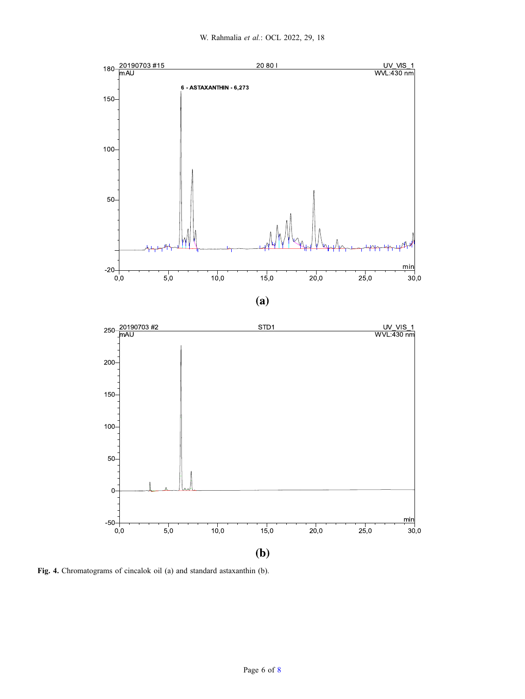<span id="page-5-0"></span>

Fig. 4. Chromatograms of cincalok oil (a) and standard astaxanthin (b).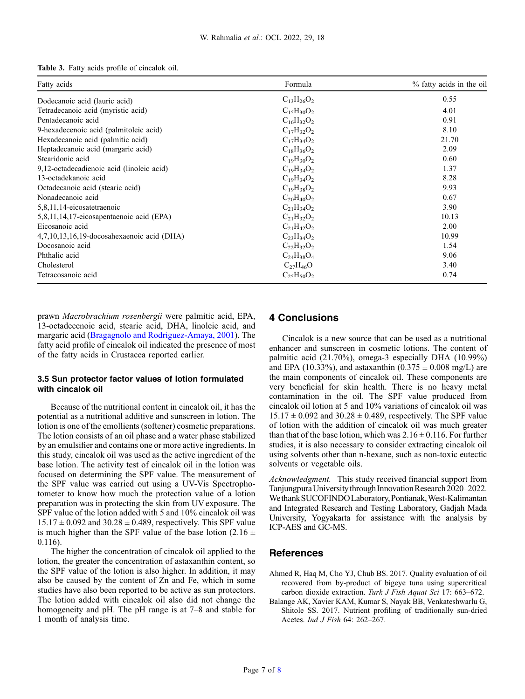<span id="page-6-0"></span>

|  |  |  | Table 3. Fatty acids profile of cincalok oil. |  |
|--|--|--|-----------------------------------------------|--|
|  |  |  |                                               |  |

| Fatty acids                                | Formula           | % fatty acids in the oil |
|--------------------------------------------|-------------------|--------------------------|
| Dodecanoic acid (lauric acid)              | $C_{13}H_{26}O_2$ | 0.55                     |
| Tetradecanoic acid (myristic acid)         | $C_{15}H_{30}O_2$ | 4.01                     |
| Pentadecanoic acid                         | $C_{16}H_{32}O_2$ | 0.91                     |
| 9-hexadecenoic acid (palmitoleic acid)     | $C_{17}H_{32}O_2$ | 8.10                     |
| Hexadecanoic acid (palmitic acid)          | $C_{17}H_{34}O_2$ | 21.70                    |
| Heptadecanoic acid (margaric acid)         | $C_{18}H_{36}O_2$ | 2.09                     |
| Stearidonic acid                           | $C_{19}H_{30}O_2$ | 0.60                     |
| 9,12-octadecadienoic acid (linoleic acid)  | $C_{19}H_{34}O_2$ | 1.37                     |
| 13-octadekanoic acid                       | $C_{19}H_{34}O_2$ | 8.28                     |
| Octadecanoic acid (stearic acid)           | $C_{19}H_{38}O_2$ | 9.93                     |
| Nonadecanoic acid                          | $C_{20}H_{40}O_2$ | 0.67                     |
| 5,8,11,14-eicosatetraenoic                 | $C_{21}H_{34}O_2$ | 3.90                     |
| 5,8,11,14,17-eicosapentaenoic acid (EPA)   | $C_{21}H_{32}O_2$ | 10.13                    |
| Eicosanoic acid                            | $C_{21}H_{42}O_2$ | 2.00                     |
| 4,7,10,13,16,19-docosahexaenoic acid (DHA) | $C_{23}H_{34}O_2$ | 10.99                    |
| Docosanoic acid                            | $C_{22}H_{32}O_2$ | 1.54                     |
| Phthalic acid                              | $C_{24}H_{38}O_4$ | 9.06                     |
| Cholesterol                                | $C_{27}H_{46}O$   | 3.40                     |
| Tetracosanoic acid                         | $C_{25}H_{50}O_2$ | 0.74                     |

prawn Macrobrachium rosenbergii were palmitic acid, EPA, 13-octadecenoic acid, stearic acid, DHA, linoleic acid, and margaric acid [\(Bragagnolo and Rodriguez-Amaya, 2001](#page-7-0)). The fatty acid profile of cincalok oil indicated the presence of most of the fatty acids in Crustacea reported earlier.

## 3.5 Sun protector factor values of lotion formulated with cincalok oil

Because of the nutritional content in cincalok oil, it has the potential as a nutritional additive and sunscreen in lotion. The lotion is one of the emollients (softener) cosmetic preparations. The lotion consists of an oil phase and a water phase stabilized by an emulsifier and contains one or more active ingredients. In this study, cincalok oil was used as the active ingredient of the base lotion. The activity test of cincalok oil in the lotion was focused on determining the SPF value. The measurement of the SPF value was carried out using a UV-Vis Spectrophotometer to know how much the protection value of a lotion preparation was in protecting the skin from UV exposure. The SPF value of the lotion added with 5 and 10% cincalok oil was  $15.17 \pm 0.092$  and  $30.28 \pm 0.489$ , respectively. This SPF value is much higher than the SPF value of the base lotion (2.16  $\pm$ 0.116).

The higher the concentration of cincalok oil applied to the lotion, the greater the concentration of astaxanthin content, so the SPF value of the lotion is also higher. In addition, it may also be caused by the content of Zn and Fe, which in some studies have also been reported to be active as sun protectors. The lotion added with cincalok oil also did not change the homogeneity and pH. The pH range is at 7–8 and stable for 1 month of analysis time.

# 4 Conclusions

Cincalok is a new source that can be used as a nutritional enhancer and sunscreen in cosmetic lotions. The content of palmitic acid (21.70%), omega-3 especially DHA (10.99%) and EPA (10.33%), and astaxanthin (0.375  $\pm$  0.008 mg/L) are the main components of cincalok oil. These components are very beneficial for skin health. There is no heavy metal contamination in the oil. The SPF value produced from cincalok oil lotion at 5 and 10% variations of cincalok oil was  $15.17 \pm 0.092$  and  $30.28 \pm 0.489$ , respectively. The SPF value of lotion with the addition of cincalok oil was much greater than that of the base lotion, which was  $2.16 \pm 0.116$ . For further studies, it is also necessary to consider extracting cincalok oil using solvents other than n-hexane, such as non-toxic eutectic solvents or vegetable oils.

Acknowledgment. This study received financial support from Tanjungpura Universitythrough Innovation Research 2020–2022. WethankSUCOFINDOLaboratory,Pontianak,West-Kalimantan and Integrated Research and Testing Laboratory, Gadjah Mada University, Yogyakarta for assistance with the analysis by ICP-AES and GC-MS.

# **References**

- Ahmed R, Haq M, Cho YJ, Chub BS. 2017. Quality evaluation of oil recovered from by-product of bigeye tuna using supercritical carbon dioxide extraction. Turk J Fish Aquat Sci 17: 663–672.
- Balange AK, Xavier KAM, Kumar S, Nayak BB, Venkateshwarlu G, Shitole SS. 2017. Nutrient profiling of traditionally sun-dried Acetes. Ind J Fish 64: 262–267.